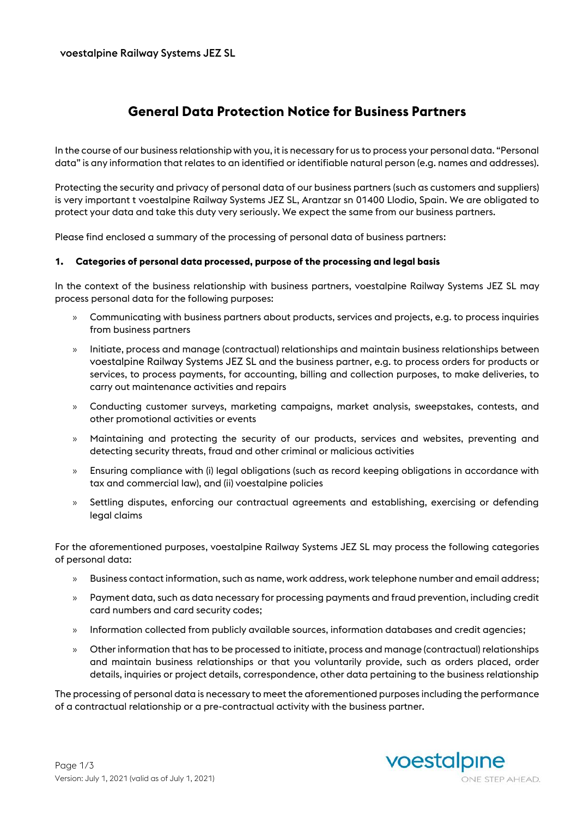# **General Data Protection Notice for Business Partners**

In the course of our business relationship with you, it is necessary for us to process your personal data. "Personal data" is any information that relates to an identified or identifiable natural person (e.g. names and addresses).

Protecting the security and privacy of personal data of our business partners (such as customers and suppliers) is very important t voestalpine Railway Systems JEZ SL, Arantzar sn 01400 Llodio, Spain. We are obligated to protect your data and take this duty very seriously. We expect the same from our business partners.

Please find enclosed a summary of the processing of personal data of business partners:

### **1. Categories of personal data processed, purpose of the processing and legal basis**

In the context of the business relationship with business partners, voestalpine Railway Systems JEZ SL may process personal data for the following purposes:

- » Communicating with business partners about products, services and projects, e.g. to process inquiries from business partners
- » Initiate, process and manage (contractual) relationships and maintain business relationships between voestalpine Railway Systems JEZ SL and the business partner, e.g. to process orders for products or services, to process payments, for accounting, billing and collection purposes, to make deliveries, to carry out maintenance activities and repairs
- » Conducting customer surveys, marketing campaigns, market analysis, sweepstakes, contests, and other promotional activities or events
- » Maintaining and protecting the security of our products, services and websites, preventing and detecting security threats, fraud and other criminal or malicious activities
- » Ensuring compliance with (i) legal obligations (such as record keeping obligations in accordance with tax and commercial law), and (ii) voestalpine policies
- » Settling disputes, enforcing our contractual agreements and establishing, exercising or defending legal claims

For the aforementioned purposes, voestalpine Railway Systems JEZ SL may process the following categories of personal data:

- » Business contact information, such as name, work address, work telephone number and email address;
- » Payment data, such as data necessary for processing payments and fraud prevention, including credit card numbers and card security codes;
- » Information collected from publicly available sources, information databases and credit agencies;
- » Other information that has to be processed to initiate, process and manage (contractual) relationships and maintain business relationships or that you voluntarily provide, such as orders placed, order details, inquiries or project details, correspondence, other data pertaining to the business relationship

The processing of personal data is necessary to meet the aforementioned purposes including the performance of a contractual relationship or a pre-contractual activity with the business partner.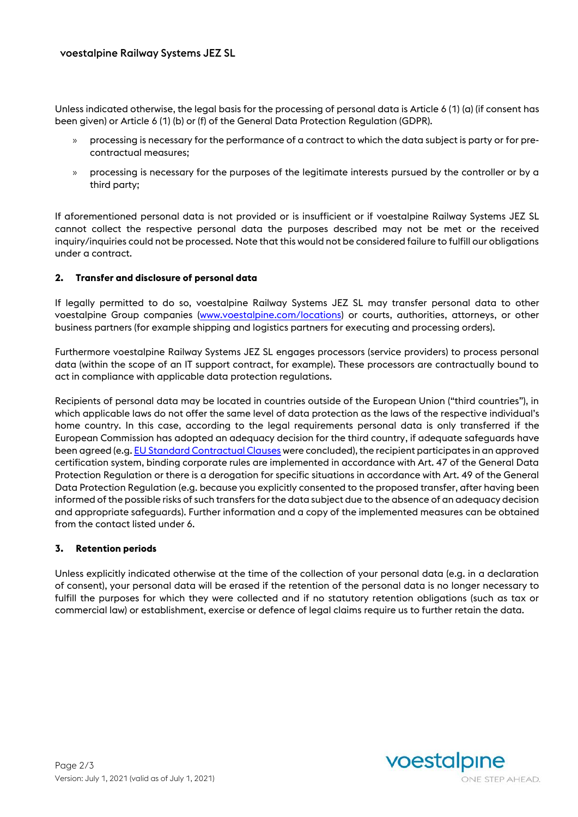Unless indicated otherwise, the legal basis for the processing of personal data is Article 6 (1) (a) (if consent has been given) or Article 6 (1) (b) or (f) of the General Data Protection Regulation (GDPR).

- » processing is necessary for the performance of a contract to which the data subject is party or for precontractual measures;
- » processing is necessary for the purposes of the legitimate interests pursued by the controller or by a third party;

If aforementioned personal data is not provided or is insufficient or if voestalpine Railway Systems JEZ SL cannot collect the respective personal data the purposes described may not be met or the received inquiry/inquiries could not be processed. Note that this would not be considered failure to fulfill our obligations under a contract.

### **2. Transfer and disclosure of personal data**

If legally permitted to do so, voestalpine Railway Systems JEZ SL may transfer personal data to other voestalpine Group companies [\(www.voestalpine.com/locations\)](http://www.voestalpine.com/locations) or courts, authorities, attorneys, or other business partners (for example shipping and logistics partners for executing and processing orders).

Furthermore voestalpine Railway Systems JEZ SL engages processors (service providers) to process personal data (within the scope of an IT support contract, for example). These processors are contractually bound to act in compliance with applicable data protection regulations.

Recipients of personal data may be located in countries outside of the European Union ("third countries"), in which applicable laws do not offer the same level of data protection as the laws of the respective individual's home country. In this case, according to the legal requirements personal data is only transferred if the European Commission has adopted an adequacy decision for the third country, if adequate safeguards have been agreed (e.g[. EU Standard Contractual Clauses](https://ec.europa.eu/info/law/law-topic/data-protection/data-transfers-outside-eu/model-contracts-transfer-personal-data-third-countries_en) were concluded), the recipient participates in an approved certification system, binding corporate rules are implemented in accordance with Art. 47 of the General Data Protection Regulation or there is a derogation for specific situations in accordance with Art. 49 of the General Data Protection Regulation (e.g. because you explicitly consented to the proposed transfer, after having been informed of the possible risks of such transfers for the data subject due to the absence of an adequacy decision and appropriate safeguards). Further information and a copy of the implemented measures can be obtained from the contact listed under 6.

### **3. Retention periods**

Unless explicitly indicated otherwise at the time of the collection of your personal data (e.g. in a declaration of consent), your personal data will be erased if the retention of the personal data is no longer necessary to fulfill the purposes for which they were collected and if no statutory retention obligations (such as tax or commercial law) or establishment, exercise or defence of legal claims require us to further retain the data.